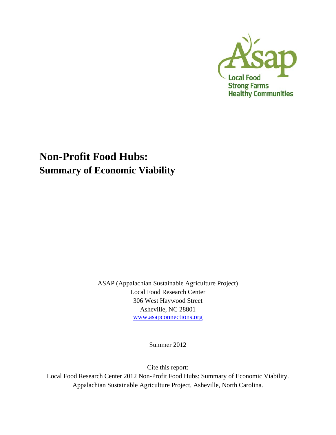

# **Non-Profit Food Hubs: Summary of Economic Viability**

ASAP (Appalachian Sustainable Agriculture Project) Local Food Research Center 306 West Haywood Street Asheville, NC 28801 www.asapconnections.org

Summer 2012

Cite this report:

Local Food Research Center 2012 Non-Profit Food Hubs: Summary of Economic Viability. Appalachian Sustainable Agriculture Project, Asheville, North Carolina.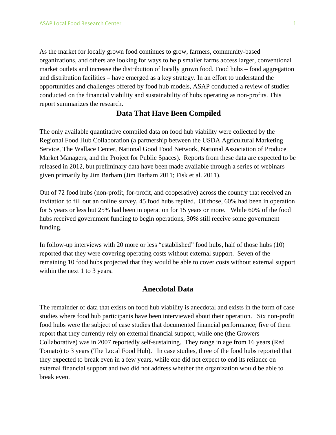As the market for locally grown food continues to grow, farmers, community-based organizations, and others are looking for ways to help smaller farms access larger, conventional market outlets and increase the distribution of locally grown food. Food hubs – food aggregation and distribution facilities – have emerged as a key strategy. In an effort to understand the opportunities and challenges offered by food hub models, ASAP conducted a review of studies conducted on the financial viability and sustainability of hubs operating as non-profits. This report summarizes the research.

## **Data That Have Been Compiled**

The only available quantitative compiled data on food hub viability were collected by the Regional Food Hub Collaboration (a partnership between the USDA Agricultural Marketing Service, The Wallace Center, National Good Food Network, National Association of Produce Market Managers, and the Project for Public Spaces). Reports from these data are expected to be released in 2012, but preliminary data have been made available through a series of webinars given primarily by Jim Barham (Jim Barham 2011; Fisk et al. 2011).

Out of 72 food hubs (non-profit, for-profit, and cooperative) across the country that received an invitation to fill out an online survey, 45 food hubs replied. Of those, 60% had been in operation for 5 years or less but 25% had been in operation for 15 years or more. While 60% of the food hubs received government funding to begin operations, 30% still receive some government funding.

In follow-up interviews with 20 more or less "established" food hubs, half of those hubs (10) reported that they were covering operating costs without external support. Seven of the remaining 10 food hubs projected that they would be able to cover costs without external support within the next 1 to 3 years.

## **Anecdotal Data**

The remainder of data that exists on food hub viability is anecdotal and exists in the form of case studies where food hub participants have been interviewed about their operation. Six non-profit food hubs were the subject of case studies that documented financial performance; five of them report that they currently rely on external financial support, while one (the Growers Collaborative) was in 2007 reportedly self-sustaining. They range in age from 16 years (Red Tomato) to 3 years (The Local Food Hub). In case studies, three of the food hubs reported that they expected to break even in a few years, while one did not expect to end its reliance on external financial support and two did not address whether the organization would be able to break even.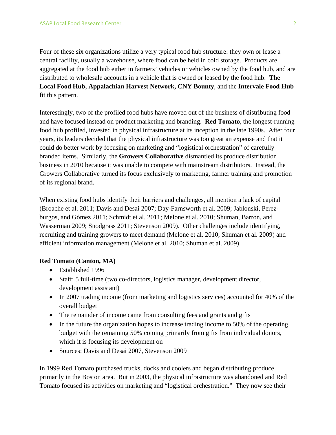Four of these six organizations utilize a very typical food hub structure: they own or lease a central facility, usually a warehouse, where food can be held in cold storage. Products are aggregated at the food hub either in farmers' vehicles or vehicles owned by the food hub, and are distributed to wholesale accounts in a vehicle that is owned or leased by the food hub. **The Local Food Hub, Appalachian Harvest Network, CNY Bounty**, and the **Intervale Food Hub** fit this pattern.

Interestingly, two of the profiled food hubs have moved out of the business of distributing food and have focused instead on product marketing and branding. **Red Tomato**, the longest-running food hub profiled, invested in physical infrastructure at its inception in the late 1990s. After four years, its leaders decided that the physical infrastructure was too great an expense and that it could do better work by focusing on marketing and "logistical orchestration" of carefully branded items. Similarly, the **Growers Collaborative** dismantled its produce distribution business in 2010 because it was unable to compete with mainstream distributors. Instead, the Growers Collaborative turned its focus exclusively to marketing, farmer training and promotion of its regional brand.

When existing food hubs identify their barriers and challenges, all mention a lack of capital (Broache et al. 2011; Davis and Desai 2007; Day-Farnsworth et al. 2009; Jablonski, Perezburgos, and Gómez 2011; Schmidt et al. 2011; Melone et al. 2010; Shuman, Barron, and Wasserman 2009; Snodgrass 2011; Stevenson 2009). Other challenges include identifying, recruiting and training growers to meet demand (Melone et al. 2010; Shuman et al. 2009) and efficient information management (Melone et al. 2010; Shuman et al. 2009).

#### **Red Tomato (Canton, MA)**

- Established 1996
- Staff: 5 full-time (two co-directors, logistics manager, development director, development assistant)
- In 2007 trading income (from marketing and logistics services) accounted for 40% of the overall budget
- The remainder of income came from consulting fees and grants and gifts
- In the future the organization hopes to increase trading income to 50% of the operating budget with the remaining 50% coming primarily from gifts from individual donors, which it is focusing its development on
- Sources: Davis and Desai 2007, Stevenson 2009

In 1999 Red Tomato purchased trucks, docks and coolers and began distributing produce primarily in the Boston area. But in 2003, the physical infrastructure was abandoned and Red Tomato focused its activities on marketing and "logistical orchestration." They now see their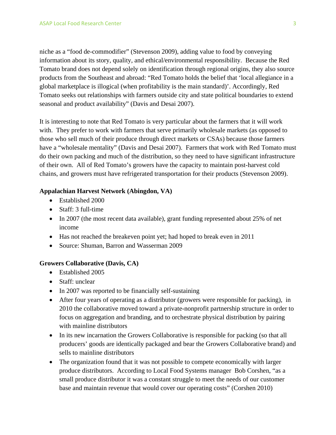niche as a "food de-commodifier" (Stevenson 2009), adding value to food by conveying information about its story, quality, and ethical/environmental responsibility. Because the Red Tomato brand does not depend solely on identification through regional origins, they also source products from the Southeast and abroad: "Red Tomato holds the belief that 'local allegiance in a global marketplace is illogical (when profitability is the main standard)'. Accordingly, Red Tomato seeks out relationships with farmers outside city and state political boundaries to extend seasonal and product availability" (Davis and Desai 2007).

It is interesting to note that Red Tomato is very particular about the farmers that it will work with. They prefer to work with farmers that serve primarily wholesale markets (as opposed to those who sell much of their produce through direct markets or CSAs) because those farmers have a "wholesale mentality" (Davis and Desai 2007). Farmers that work with Red Tomato must do their own packing and much of the distribution, so they need to have significant infrastructure of their own. All of Red Tomato's growers have the capacity to maintain post-harvest cold chains, and growers must have refrigerated transportation for their products (Stevenson 2009).

#### **Appalachian Harvest Network (Abingdon, VA)**

- Established 2000
- Staff: 3 full-time
- In 2007 (the most recent data available), grant funding represented about 25% of net income
- Has not reached the breakeven point yet; had hoped to break even in 2011
- Source: Shuman, Barron and Wasserman 2009

#### **Growers Collaborative (Davis, CA)**

- Established 2005
- Staff: unclear
- In 2007 was reported to be financially self-sustaining
- After four years of operating as a distributor (growers were responsible for packing), in 2010 the collaborative moved toward a private-nonprofit partnership structure in order to focus on aggregation and branding, and to orchestrate physical distribution by pairing with mainline distributors
- In its new incarnation the Growers Collaborative is responsible for packing (so that all producers' goods are identically packaged and bear the Growers Collaborative brand) and sells to mainline distributors
- The organization found that it was not possible to compete economically with larger produce distributors. According to Local Food Systems manager Bob Corshen, "as a small produce distributor it was a constant struggle to meet the needs of our customer base and maintain revenue that would cover our operating costs" (Corshen 2010)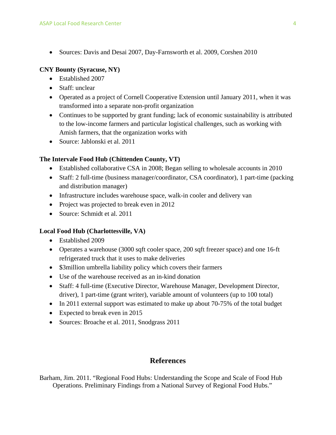Sources: Davis and Desai 2007, Day-Farnsworth et al. 2009, Corshen 2010

#### **CNY Bounty (Syracuse, NY)**

- Established 2007
- Staff: unclear
- Operated as a project of Cornell Cooperative Extension until January 2011, when it was transformed into a separate non-profit organization
- Continues to be supported by grant funding; lack of economic sustainability is attributed to the low-income farmers and particular logistical challenges, such as working with Amish farmers, that the organization works with
- Source: Jablonski et al. 2011

#### **The Intervale Food Hub (Chittenden County, VT)**

- Established collaborative CSA in 2008; Began selling to wholesale accounts in 2010
- Staff: 2 full-time (business manager/coordinator, CSA coordinator), 1 part-time (packing and distribution manager)
- Infrastructure includes warehouse space, walk-in cooler and delivery van
- Project was projected to break even in 2012
- Source: Schmidt et al. 2011

#### **Local Food Hub (Charlottesville, VA)**

- Established 2009
- Operates a warehouse (3000 sqft cooler space, 200 sqft freezer space) and one 16-ft refrigerated truck that it uses to make deliveries
- \$3million umbrella liability policy which covers their farmers
- Use of the warehouse received as an in-kind donation
- Staff: 4 full-time (Executive Director, Warehouse Manager, Development Director, driver), 1 part-time (grant writer), variable amount of volunteers (up to 100 total)
- In 2011 external support was estimated to make up about 70-75% of the total budget
- Expected to break even in 2015
- Sources: Broache et al. 2011, Snodgrass 2011

# **References**

Barham, Jim. 2011. "Regional Food Hubs: Understanding the Scope and Scale of Food Hub Operations. Preliminary Findings from a National Survey of Regional Food Hubs."